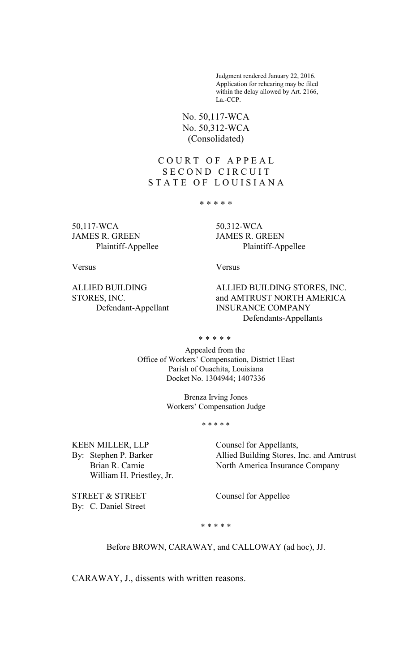Judgment rendered January 22, 2016. Application for rehearing may be filed within the delay allowed by Art. 2166, La.-CCP.

No. 50,117-WCA No. 50,312-WCA (Consolidated)

# C O U R T O F A P P E A L SECOND CIRCUIT STATE OF LOUISIANA

\* \* \* \* \*

50,117-WCA 50,312-WCA JAMES R. GREEN JAMES R. GREEN

Plaintiff-Appellee Plaintiff-Appellee

Versus Versus

ALLIED BUILDING ALLIED BUILDING STORES, INC. STORES, INC. and AMTRUST NORTH AMERICA Defendant-Appellant INSURANCE COMPANY Defendants-Appellants

\* \* \* \* \*

Appealed from the Office of Workers' Compensation, District 1East Parish of Ouachita, Louisiana Docket No. 1304944; 1407336

> Brenza Irving Jones Workers' Compensation Judge

> > \* \* \* \* \*

KEEN MILLER, LLP Counsel for Appellants, William H. Priestley, Jr.

By: Stephen P. Barker Allied Building Stores, Inc. and Amtrust Brian R. Carnie North America Insurance Company

\* \* \* \* \*

Before BROWN, CARAWAY, and CALLOWAY (ad hoc), JJ.

CARAWAY, J., dissents with written reasons.

STREET & STREET Counsel for Appellee

By: C. Daniel Street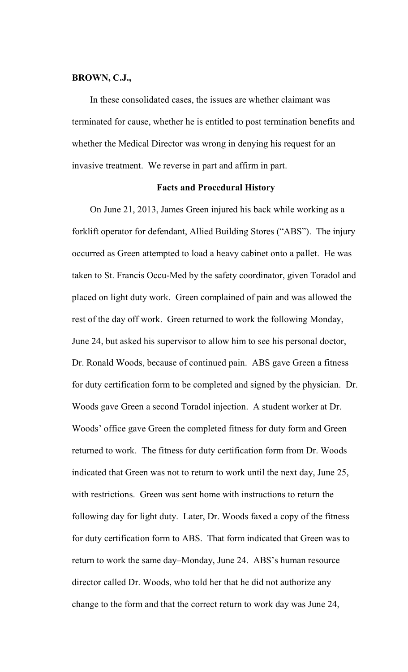## **BROWN, C.J.,**

In these consolidated cases, the issues are whether claimant was terminated for cause, whether he is entitled to post termination benefits and whether the Medical Director was wrong in denying his request for an invasive treatment. We reverse in part and affirm in part.

#### **Facts and Procedural History**

On June 21, 2013, James Green injured his back while working as a forklift operator for defendant, Allied Building Stores ("ABS"). The injury occurred as Green attempted to load a heavy cabinet onto a pallet. He was taken to St. Francis Occu-Med by the safety coordinator, given Toradol and placed on light duty work. Green complained of pain and was allowed the rest of the day off work. Green returned to work the following Monday, June 24, but asked his supervisor to allow him to see his personal doctor, Dr. Ronald Woods, because of continued pain. ABS gave Green a fitness for duty certification form to be completed and signed by the physician. Dr. Woods gave Green a second Toradol injection. A student worker at Dr. Woods' office gave Green the completed fitness for duty form and Green returned to work. The fitness for duty certification form from Dr. Woods indicated that Green was not to return to work until the next day, June 25, with restrictions. Green was sent home with instructions to return the following day for light duty. Later, Dr. Woods faxed a copy of the fitness for duty certification form to ABS. That form indicated that Green was to return to work the same day–Monday, June 24. ABS's human resource director called Dr. Woods, who told her that he did not authorize any change to the form and that the correct return to work day was June 24,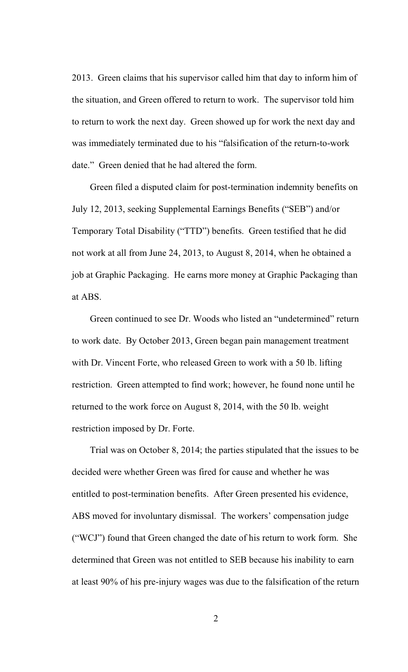2013. Green claims that his supervisor called him that day to inform him of the situation, and Green offered to return to work. The supervisor told him to return to work the next day. Green showed up for work the next day and was immediately terminated due to his "falsification of the return-to-work date." Green denied that he had altered the form.

Green filed a disputed claim for post-termination indemnity benefits on July 12, 2013, seeking Supplemental Earnings Benefits ("SEB") and/or Temporary Total Disability ("TTD") benefits. Green testified that he did not work at all from June 24, 2013, to August 8, 2014, when he obtained a job at Graphic Packaging. He earns more money at Graphic Packaging than at ABS.

Green continued to see Dr. Woods who listed an "undetermined" return to work date. By October 2013, Green began pain management treatment with Dr. Vincent Forte, who released Green to work with a 50 lb. lifting restriction. Green attempted to find work; however, he found none until he returned to the work force on August 8, 2014, with the 50 lb. weight restriction imposed by Dr. Forte.

Trial was on October 8, 2014; the parties stipulated that the issues to be decided were whether Green was fired for cause and whether he was entitled to post-termination benefits. After Green presented his evidence, ABS moved for involuntary dismissal. The workers' compensation judge ("WCJ") found that Green changed the date of his return to work form. She determined that Green was not entitled to SEB because his inability to earn at least 90% of his pre-injury wages was due to the falsification of the return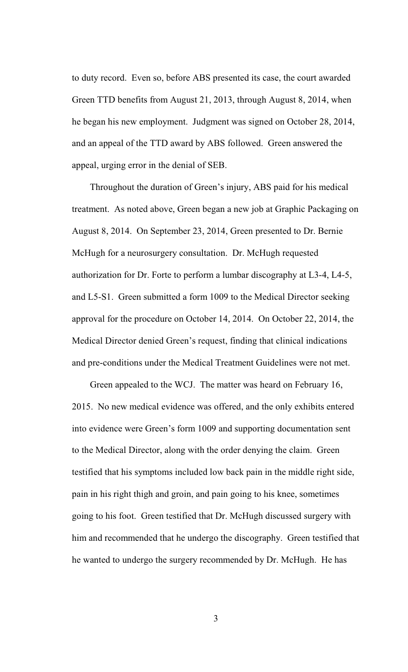to duty record. Even so, before ABS presented its case, the court awarded Green TTD benefits from August 21, 2013, through August 8, 2014, when he began his new employment. Judgment was signed on October 28, 2014, and an appeal of the TTD award by ABS followed. Green answered the appeal, urging error in the denial of SEB.

Throughout the duration of Green's injury, ABS paid for his medical treatment. As noted above, Green began a new job at Graphic Packaging on August 8, 2014. On September 23, 2014, Green presented to Dr. Bernie McHugh for a neurosurgery consultation. Dr. McHugh requested authorization for Dr. Forte to perform a lumbar discography at L3-4, L4-5, and L5-S1. Green submitted a form 1009 to the Medical Director seeking approval for the procedure on October 14, 2014. On October 22, 2014, the Medical Director denied Green's request, finding that clinical indications and pre-conditions under the Medical Treatment Guidelines were not met.

Green appealed to the WCJ. The matter was heard on February 16, 2015. No new medical evidence was offered, and the only exhibits entered into evidence were Green's form 1009 and supporting documentation sent to the Medical Director, along with the order denying the claim. Green testified that his symptoms included low back pain in the middle right side, pain in his right thigh and groin, and pain going to his knee, sometimes going to his foot. Green testified that Dr. McHugh discussed surgery with him and recommended that he undergo the discography. Green testified that he wanted to undergo the surgery recommended by Dr. McHugh. He has

3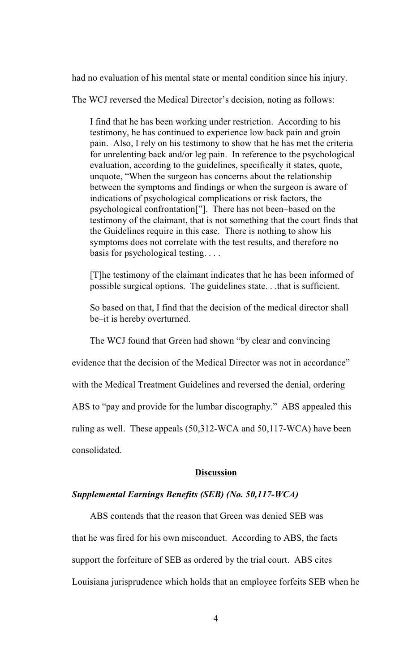had no evaluation of his mental state or mental condition since his injury.

The WCJ reversed the Medical Director's decision, noting as follows:

I find that he has been working under restriction. According to his testimony, he has continued to experience low back pain and groin pain. Also, I rely on his testimony to show that he has met the criteria for unrelenting back and/or leg pain. In reference to the psychological evaluation, according to the guidelines, specifically it states, quote, unquote, "When the surgeon has concerns about the relationship between the symptoms and findings or when the surgeon is aware of indications of psychological complications or risk factors, the psychological confrontation["]. There has not been–based on the testimony of the claimant, that is not something that the court finds that the Guidelines require in this case. There is nothing to show his symptoms does not correlate with the test results, and therefore no basis for psychological testing. . . .

[T]he testimony of the claimant indicates that he has been informed of possible surgical options. The guidelines state. . .that is sufficient.

So based on that, I find that the decision of the medical director shall be–it is hereby overturned.

The WCJ found that Green had shown "by clear and convincing

evidence that the decision of the Medical Director was not in accordance"

with the Medical Treatment Guidelines and reversed the denial, ordering

ABS to "pay and provide for the lumbar discography." ABS appealed this

ruling as well. These appeals (50,312-WCA and 50,117-WCA) have been

consolidated.

#### **Discussion**

## *Supplemental Earnings Benefits (SEB) (No. 50,117-WCA)*

ABS contends that the reason that Green was denied SEB was

that he was fired for his own misconduct. According to ABS, the facts

support the forfeiture of SEB as ordered by the trial court. ABS cites

Louisiana jurisprudence which holds that an employee forfeits SEB when he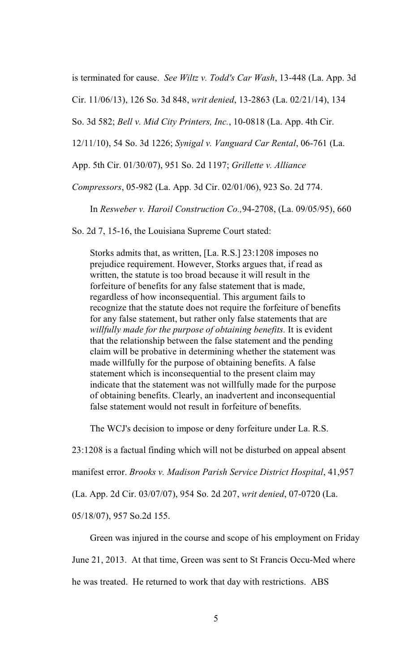is terminated for cause. *See Wiltz v. Todd's Car Wash*, 13-448 (La. App. 3d

Cir. 11/06/13), 126 So. 3d 848, *writ denied*, 13-2863 (La. 02/21/14), 134

So. 3d 582; *Bell v. Mid City Printers, Inc.*, 10-0818 (La. App. 4th Cir.

12/11/10), 54 So. 3d 1226; *Synigal v. Vanguard Car Rental*, 06-761 (La.

App. 5th Cir. 01/30/07), 951 So. 2d 1197; *Grillette v. Alliance*

*Compressors*, 05-982 (La. App. 3d Cir. 02/01/06), 923 So. 2d 774.

In *Resweber v. Haroil Construction Co.,*94-2708, (La. 09/05/95), 660

So. 2d 7, 15-16, the Louisiana Supreme Court stated:

Storks admits that, as written, [La. R.S.] 23:1208 imposes no prejudice requirement. However, Storks argues that, if read as written, the statute is too broad because it will result in the forfeiture of benefits for any false statement that is made, regardless of how inconsequential. This argument fails to recognize that the statute does not require the forfeiture of benefits for any false statement, but rather only false statements that are *willfully made for the purpose of obtaining benefits.* It is evident that the relationship between the false statement and the pending claim will be probative in determining whether the statement was made willfully for the purpose of obtaining benefits. A false statement which is inconsequential to the present claim may indicate that the statement was not willfully made for the purpose of obtaining benefits. Clearly, an inadvertent and inconsequential false statement would not result in forfeiture of benefits.

The WCJ's decision to impose or deny forfeiture under La. R.S.

23:1208 is a factual finding which will not be disturbed on appeal absent

manifest error. *Brooks v. Madison Parish Service District Hospital*, 41,957

(La. App. 2d Cir. 03/07/07), 954 So. 2d 207, *writ denied*, 07-0720 (La.

05/18/07), 957 So.2d 155.

Green was injured in the course and scope of his employment on Friday

June 21, 2013. At that time, Green was sent to St Francis Occu-Med where

he was treated. He returned to work that day with restrictions. ABS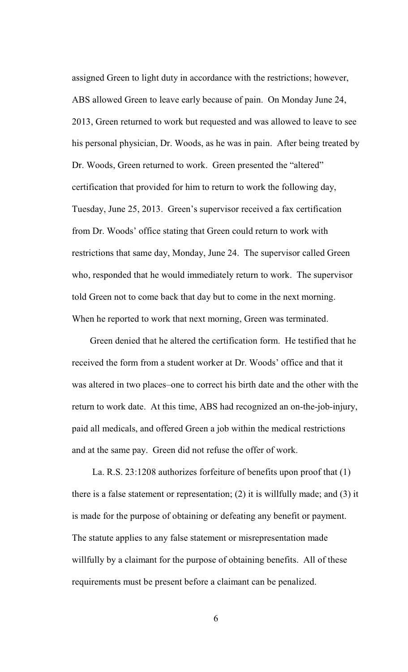assigned Green to light duty in accordance with the restrictions; however, ABS allowed Green to leave early because of pain. On Monday June 24, 2013, Green returned to work but requested and was allowed to leave to see his personal physician, Dr. Woods, as he was in pain. After being treated by Dr. Woods, Green returned to work. Green presented the "altered" certification that provided for him to return to work the following day, Tuesday, June 25, 2013. Green's supervisor received a fax certification from Dr. Woods' office stating that Green could return to work with restrictions that same day, Monday, June 24. The supervisor called Green who, responded that he would immediately return to work. The supervisor told Green not to come back that day but to come in the next morning. When he reported to work that next morning, Green was terminated.

Green denied that he altered the certification form. He testified that he received the form from a student worker at Dr. Woods' office and that it was altered in two places–one to correct his birth date and the other with the return to work date. At this time, ABS had recognized an on-the-job-injury, paid all medicals, and offered Green a job within the medical restrictions and at the same pay. Green did not refuse the offer of work.

 La. R.S. 23:1208 authorizes forfeiture of benefits upon proof that (1) there is a false statement or representation; (2) it is willfully made; and (3) it is made for the purpose of obtaining or defeating any benefit or payment. The statute applies to any false statement or misrepresentation made willfully by a claimant for the purpose of obtaining benefits. All of these requirements must be present before a claimant can be penalized.

6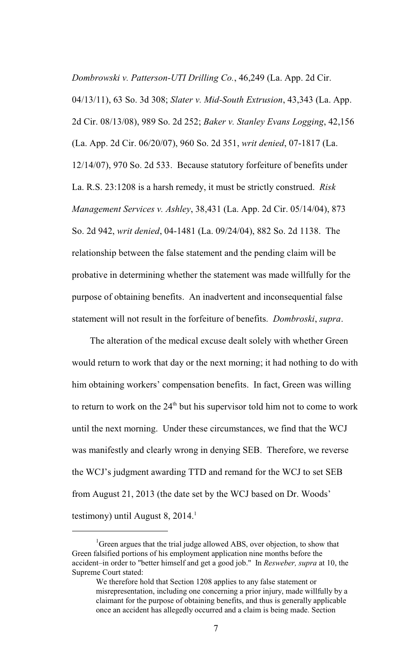*Dombrowski v. Patterson-UTI Drilling Co.*, 46,249 (La. App. 2d Cir.

04/13/11), 63 So. 3d 308; *Slater v. Mid-South Extrusion*, 43,343 (La. App. 2d Cir. 08/13/08), 989 So. 2d 252; *Baker v. Stanley Evans Logging*, 42,156 (La. App. 2d Cir. 06/20/07), 960 So. 2d 351, *writ denied*, 07-1817 (La. 12/14/07), 970 So. 2d 533. Because statutory forfeiture of benefits under La. R.S. 23:1208 is a harsh remedy, it must be strictly construed. *Risk Management Services v. Ashley*, 38,431 (La. App. 2d Cir. 05/14/04), 873 So. 2d 942, *writ denied*, 04-1481 (La. 09/24/04), 882 So. 2d 1138. The relationship between the false statement and the pending claim will be probative in determining whether the statement was made willfully for the purpose of obtaining benefits. An inadvertent and inconsequential false statement will not result in the forfeiture of benefits. *Dombroski*, *supra*.

The alteration of the medical excuse dealt solely with whether Green would return to work that day or the next morning; it had nothing to do with him obtaining workers' compensation benefits. In fact, Green was willing to return to work on the  $24<sup>th</sup>$  but his supervisor told him not to come to work until the next morning. Under these circumstances, we find that the WCJ was manifestly and clearly wrong in denying SEB. Therefore, we reverse the WCJ's judgment awarding TTD and remand for the WCJ to set SEB from August 21, 2013 (the date set by the WCJ based on Dr. Woods' testimony) until August 8, 2014. $^1$ 

<sup>&</sup>lt;sup>1</sup>Green argues that the trial judge allowed ABS, over objection, to show that Green falsified portions of his employment application nine months before the accident–in order to "better himself and get a good job." In *Resweber, supra* at 10, the Supreme Court stated:

We therefore hold that Section 1208 applies to any false statement or misrepresentation, including one concerning a prior injury, made willfully by a claimant for the purpose of obtaining benefits, and thus is generally applicable once an accident has allegedly occurred and a claim is being made. Section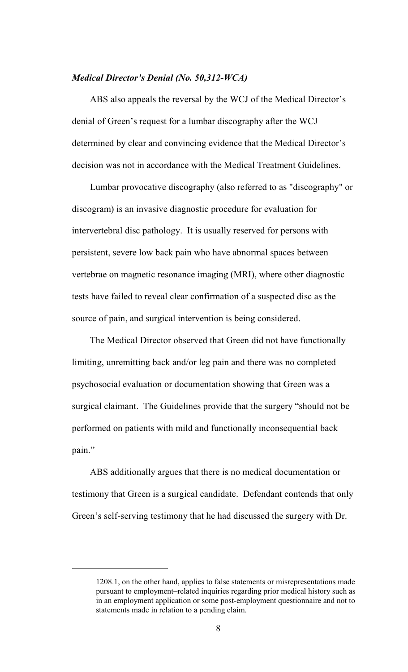# *Medical Director's Denial (No. 50,312-WCA)*

ABS also appeals the reversal by the WCJ of the Medical Director's denial of Green's request for a lumbar discography after the WCJ determined by clear and convincing evidence that the Medical Director's decision was not in accordance with the Medical Treatment Guidelines.

Lumbar provocative discography (also referred to as "discography" or discogram) is an invasive diagnostic procedure for evaluation for intervertebral disc pathology. It is usually reserved for persons with persistent, severe low back pain who have abnormal spaces between vertebrae on magnetic resonance imaging (MRI), where other diagnostic tests have failed to reveal clear confirmation of a suspected disc as the source of pain, and surgical intervention is being considered.

The Medical Director observed that Green did not have functionally limiting, unremitting back and/or leg pain and there was no completed psychosocial evaluation or documentation showing that Green was a surgical claimant. The Guidelines provide that the surgery "should not be performed on patients with mild and functionally inconsequential back pain."

ABS additionally argues that there is no medical documentation or testimony that Green is a surgical candidate. Defendant contends that only Green's self-serving testimony that he had discussed the surgery with Dr.

<sup>1208.1,</sup> on the other hand, applies to false statements or misrepresentations made pursuant to employment–related inquiries regarding prior medical history such as in an employment application or some post-employment questionnaire and not to statements made in relation to a pending claim.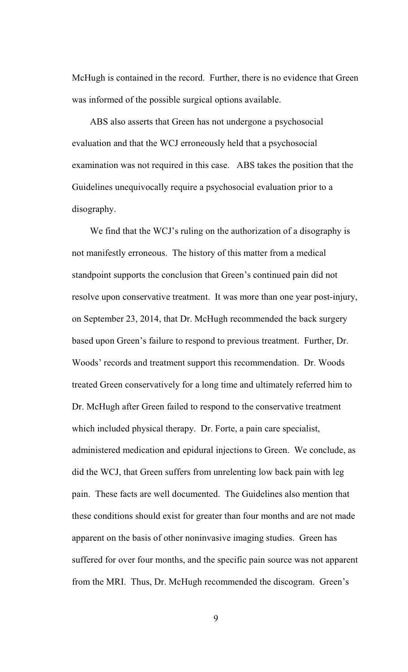McHugh is contained in the record. Further, there is no evidence that Green was informed of the possible surgical options available.

ABS also asserts that Green has not undergone a psychosocial evaluation and that the WCJ erroneously held that a psychosocial examination was not required in this case. ABS takes the position that the Guidelines unequivocally require a psychosocial evaluation prior to a disography.

We find that the WCJ's ruling on the authorization of a disography is not manifestly erroneous. The history of this matter from a medical standpoint supports the conclusion that Green's continued pain did not resolve upon conservative treatment. It was more than one year post-injury, on September 23, 2014, that Dr. McHugh recommended the back surgery based upon Green's failure to respond to previous treatment. Further, Dr. Woods' records and treatment support this recommendation. Dr. Woods treated Green conservatively for a long time and ultimately referred him to Dr. McHugh after Green failed to respond to the conservative treatment which included physical therapy. Dr. Forte, a pain care specialist, administered medication and epidural injections to Green. We conclude, as did the WCJ, that Green suffers from unrelenting low back pain with leg pain. These facts are well documented. The Guidelines also mention that these conditions should exist for greater than four months and are not made apparent on the basis of other noninvasive imaging studies. Green has suffered for over four months, and the specific pain source was not apparent from the MRI. Thus, Dr. McHugh recommended the discogram. Green's

9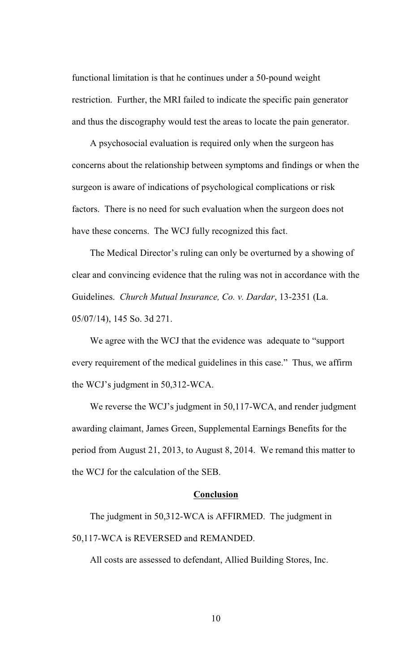functional limitation is that he continues under a 50-pound weight restriction. Further, the MRI failed to indicate the specific pain generator and thus the discography would test the areas to locate the pain generator.

A psychosocial evaluation is required only when the surgeon has concerns about the relationship between symptoms and findings or when the surgeon is aware of indications of psychological complications or risk factors. There is no need for such evaluation when the surgeon does not have these concerns. The WCJ fully recognized this fact.

The Medical Director's ruling can only be overturned by a showing of clear and convincing evidence that the ruling was not in accordance with the Guidelines. *Church Mutual Insurance, Co. v. Dardar*, 13-2351 (La. 05/07/14), 145 So. 3d 271.

We agree with the WCJ that the evidence was adequate to "support every requirement of the medical guidelines in this case." Thus, we affirm the WCJ's judgment in 50,312-WCA.

We reverse the WCJ's judgment in 50,117-WCA, and render judgment awarding claimant, James Green, Supplemental Earnings Benefits for the period from August 21, 2013, to August 8, 2014. We remand this matter to the WCJ for the calculation of the SEB.

#### **Conclusion**

The judgment in 50,312-WCA is AFFIRMED. The judgment in 50,117-WCA is REVERSED and REMANDED.

All costs are assessed to defendant, Allied Building Stores, Inc.